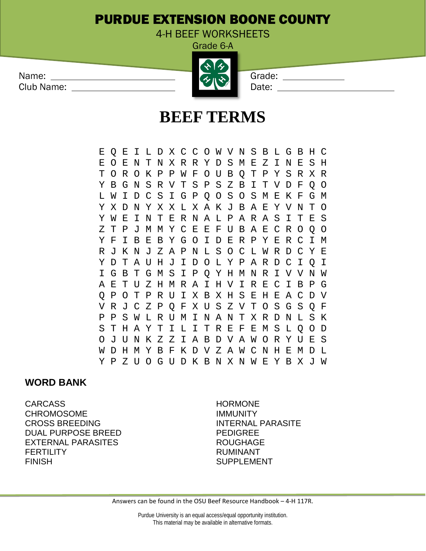## PURDUE EXTENSION BOONE COUNTY

4-H BEEF WORKSHEETS

Grade 6-A

| Name:      | $\mathbf{A}$        | Grade: |  |
|------------|---------------------|--------|--|
| Club Name: | $\langle 3 \rangle$ | Date:  |  |

## **BEEF TERMS**

E Q E I L D X C C O W V N S B L G B H C E O E N T N X R R Y D S M E Z I N E S H T O R O K P P W F O U B Q T P Y S R X R Y B G N S R V T S P S Z B I T V D F Q O L W I D C S I G P Q O S O S M E K F G M Y X D N Y X X L X A K J B A E Y V N T O Y W E I N T E R N A L P A R A S I T E S Z T P J M M Y C E E F U B A E C R O Q O Y F I B E B Y G O I D E R P Y E R C I M R J K N J Z A P N L S O C L W R D C Y E Y D T A U H J I D O L Y P A R D C I Q I I G B T G M S I P Q Y H M N R I V V N W A E T U Z H M R A I H V I R E C I B P G Q P O T P R U I X B X H S E H E A C D V V R J C Z P Q F X U S Z V T O S G S Q F P P S W L R U M I N A N T X R D N L S K S T H A Y T I L I T R E F E M S L Q O D O J U N K Z Z I A B D V A W O R Y U E S W D H M Y B F K D V Z A W C N H E M D L Y P Z U O G U D K B N X N W E Y B X J W

## **WORD BANK**

CARCASS HORMONE CHROMOSOME IMMUNITY CROSS BREEDING **INTERNAL PARASITE** DUAL PURPOSE BREED PEDIGREE EXTERNAL PARASITES ROUGHAGE FERTILITY RUMINANT FINISH SUPPLEMENT